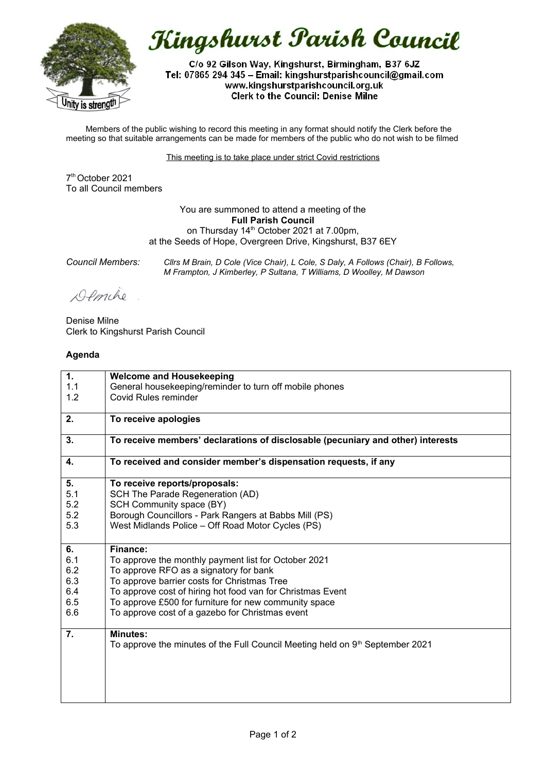

Kingshurst Parish Council

C/o 92 Gilson Way, Kingshurst, Birmingham, B37 6JZ Tel: 07865 294 345 - Email: kingshurstparishcouncil@gmail.com www.kingshurstparishcouncil.org.uk **Clerk to the Council: Denise Milne** 

Members of the public wishing to record this meeting in any format should notify the Clerk before the meeting so that suitable arrangements can be made for members of the public who do not wish to be filmed

This meeting is to take place under strict Covid restrictions

7 th October 2021 To all Council members

> You are summoned to attend a meeting of the **Full Parish Council** on Thursday 14<sup>th</sup> October 2021 at 7.00pm, at the Seeds of Hope, Overgreen Drive, Kingshurst, B37 6EY

*Council Members: Cllrs M Brain, D Cole (Vice Chair), L Cole, S Daly, A Follows (Chair), B Follows, M Frampton, J Kimberley, P Sultana, T Williams, D Woolley, M Dawson*

Demche

Denise Milne Clerk to Kingshurst Parish Council

## **Agenda**

| 1.  | <b>Welcome and Housekeeping</b>                                                           |
|-----|-------------------------------------------------------------------------------------------|
| 1.1 | General housekeeping/reminder to turn off mobile phones                                   |
| 1.2 | Covid Rules reminder                                                                      |
|     |                                                                                           |
| 2.  | To receive apologies                                                                      |
|     |                                                                                           |
| 3.  | To receive members' declarations of disclosable (pecuniary and other) interests           |
| 4.  | To received and consider member's dispensation requests, if any                           |
| 5.  | To receive reports/proposals:                                                             |
| 5.1 | SCH The Parade Regeneration (AD)                                                          |
| 5.2 | SCH Community space (BY)                                                                  |
| 5.2 | Borough Councillors - Park Rangers at Babbs Mill (PS)                                     |
| 5.3 | West Midlands Police - Off Road Motor Cycles (PS)                                         |
|     |                                                                                           |
| 6.  | Finance:                                                                                  |
| 6.1 | To approve the monthly payment list for October 2021                                      |
| 6.2 | To approve RFO as a signatory for bank                                                    |
| 6.3 | To approve barrier costs for Christmas Tree                                               |
| 6.4 | To approve cost of hiring hot food van for Christmas Event                                |
| 6.5 | To approve £500 for furniture for new community space                                     |
| 6.6 | To approve cost of a gazebo for Christmas event                                           |
|     |                                                                                           |
| 7.  | <b>Minutes:</b>                                                                           |
|     | To approve the minutes of the Full Council Meeting held on 9 <sup>th</sup> September 2021 |
|     |                                                                                           |
|     |                                                                                           |
|     |                                                                                           |
|     |                                                                                           |
|     |                                                                                           |